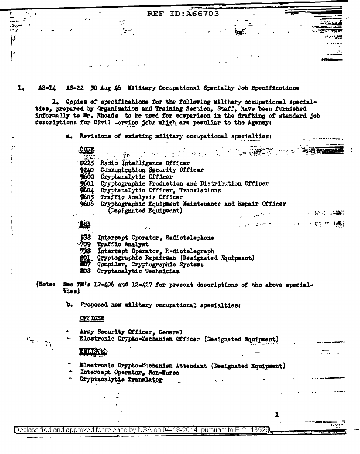| <b>COLL</b>     |            |                 | REF ID: A66703 |                                                                                                       |
|-----------------|------------|-----------------|----------------|-------------------------------------------------------------------------------------------------------|
| <b><i>F</i></b> | $\sim$ $-$ | $\cdot$ $\cdot$ |                | . <i>.</i><br>४ - 'तुषा कामका                                                                         |
|                 |            |                 |                | $\mathcal{O}(\mathcal{O}(\log n))$<br>$\mathbf{X} = \mathbf{X} \times \mathbf{M} \times \mathbf{M}$ . |
| r.              |            |                 |                | $\sim$                                                                                                |

1. **18-14** AS-22 30 Aug 46 Military Occupational Specialty Job Specifications

1. Copies of specifications for the following military occupational specialties, prepared by Organization and Training Section, Staff, have been furnished informally to Mr. Rhoads to be used for comparison in the drafting of standard job descriptions for Civil .cryice jobs which are peculiar to the Agency:

a. Revisions of existing military occupational specialties:

The Secretary of the Secretary CODI  $\mathbf{P}(\mathbf{p})$ 0225 Radio Intelligence Officer 9240 Communication Security Officer \$600 Cryptanalytic Officer \$601 Cryptographic Production and Distribution Officer 9604 Cryptanalytic Officer, Translations<br>9605 Traffic Analysis Officer 9606 Cryptographic Equipment Maintenance and Repair Officer (Designated Equipment)  $\omega = \sqrt{1 + \frac{1}{2} \left( \frac{1}{2} \right)^2 + \frac{1}{2} \left( \frac{1}{2} \right)^2}$ 越 シュース・アーバー しょうしゃ 不満れ \$38 Intergept Operator, Radiotelephone 709 Traffic Analyst 738 Intercept Operator, Rediotelegraph Cryptographic Repairman (Designated Rauinment) Compiler, Cryptographic Systems 508 Cryptanalytic Technician (Noter See TM's 12-406 and 12-427 for present descriptions of the above special-Eies) b. Proposed new military occupational specialties: **OFFICER** Army Security Officer, General  $c_{n}$  ,  $\frac{1}{n}$ Electronic Crypto-Mechanism Officer (Designated Equipment) **ENLISTED** Electronic Crypto-Mechanism Attendant (Designated Equipment) Intercept Operator. Non-Morse

Cryptanalytic Translator

Declassified and approved for release by NSA on 04-18-2014 pursuant to E.O. 13526

 $\overline{\mathcal{P}}$  and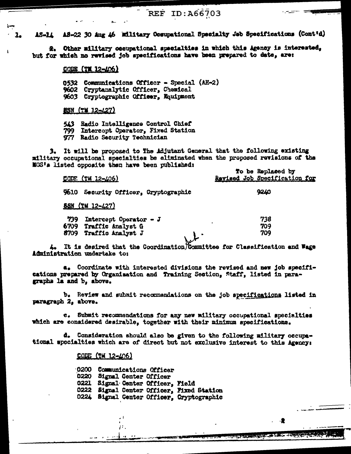AS-22 30 Aug 16 Military Occupational Specialty Jeb Specifications (Cont'd) **15-14** 

Other military occupational specialties in which this Agency is interested.  $2.$ but for which no revised job specifications have been prepared to date. are:

# CODE (TH 12-406)

0532 Communications Officer - Special (AH-2) 9602 Cryptanalytic Officer, Chemical 9603 Cryptographic Officer. Rouinment

# **SSN (TM 12-427)**

543 Radio Intelligence Control Chief 799 Intercept Operator, Fixed Station 977 Radio Security Technician

3. It will be proposed to The Adjutant General that the following existing military occupational specialties be eliminated when the proposed revisions of the MOS's listed opposite then have been published:  $B = 18.5 + 12.5$ 

| CODE (TH 12-406)                                          | IQ DE REDIECEU DA<br>Revised Job Specification for |
|-----------------------------------------------------------|----------------------------------------------------|
| 9610<br>Security Officer, Cryptographic                   | 9240                                               |
| <b>SSN (TM 12-427)</b>                                    |                                                    |
| 739<br>Intercept Operator $-$ J<br>6709 Traffic Analyst G | 738<br>٠<br>709                                    |
| 8709<br>Traffic Analyst J                                 | 709                                                |

4. It is desired that the Coordination Committee for Classification and Wage Administration undertake to:

a. Coordinate with interested divisions the revised and new job specifications prepared by Organisation and Training Section, Staff, listed in paragraphs la and b, above.

b. Review and submit recommendations on the job specifications listed in paragraph 2, above.

e. Submit recommendations for any new military occupational specialties which are considered desirable, together with their minimum specifications.

d. Consideration should also be given to the following military occupational specialties which are of direct but not exclusive interest to this Agency:

. 윤

**AN ALGEMENT AND A** 

CODE (TM 12-406)

 $\cdot$   $\cdot$ 

 $\mathcal{F}^{\mathcal{F}}$ 

0200 Communications Officer 0220 Signal Center Officer 0221 Signal Center Officer, Field 0222 Signal Center Officer, Fixed Station 0224 Signal Center Officer, Cryptographic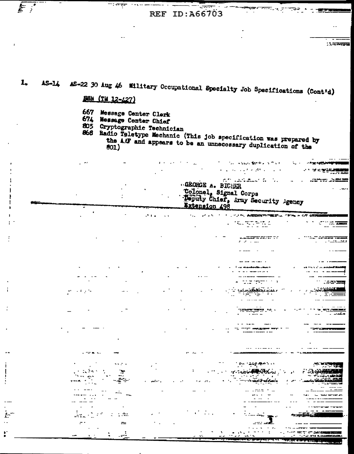ಹ್ಮಾನ್ಸ್ ಪ

**Secretary** 

وزواوه والمنابي

 $15222$ 

-- - -

### AS-22 30 Aug 46 Military Occupational Specialty Job Specifications (Cont'd) 1.  $AS - 14$

ВЕН (ТИ 12-427)

ng <del>enga</del>r

667 Message Center Clerk

674 Message Center Chief

 $\sim 10^{-11}$ 

 $\sim$  elec  $=$ 

 $\frac{1}{2}$ 

Cryptographic Technician 805

 $\mathcal{F}(\mathbf{r})$  .

 $\sim 1$ 

868 Radio Teletype Mechanic (This job specification was prepared by the AAF and appears to be an unnecessary duplication of the

GEORGE A. BICHER

Extension 498

 $\mathcal{L}(\mathbf{z})$  . In (

с.

Colonel, Signal Corps

The Marine Market Street المناسب والمحرم فيرز المداني ما

**SAME AND STREET OF STREET** 

waren a

**CONTRACTOR STATES AND THE AUTHOR** 

ar water om

 $\sim 1000$  erg and  $\sim 1000$ 

**CONSTRUCTION AND L.** 

் உட்டியூ அமைப்ப

Y CONTROLLA

Toputy Chief, Army Security Agency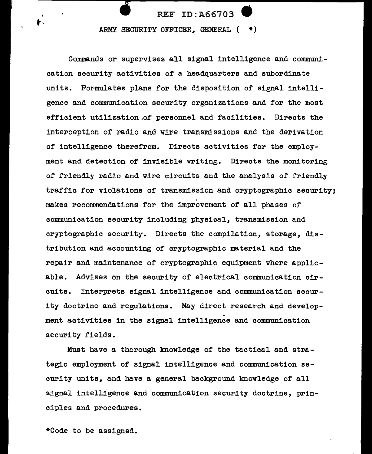# • REF ID:A66703 • ARMY SECURITY OFFICER, GENERAL  $( * )$

Commands or supervises all signal intelligence and communication security activities of a headquarters and subordinate units. Formulates plans for the disposition of signal intelligence and communication security organizations and for the most efficient utilization.of personnel and facilities. Directs the interception of radio and wire transmissions and the derivation of intelligence therefrom. Directs activities for the employment and detection of invisible writing. Directs the monitoring of friendly radio and wire circuits and the analysis of friendly traffic for violations of transmission and cryptographic security; makes recommendations for the improvement of all phases of communication security including physical, transmission and cryptographic security. Directs the compilation, storage, distribution and accounting or cryptographic material and the repair and maintenance of cryptographic equipment where applicable. Advises on the security of electrical communication circuits. Interprets signal intelligence and communication security doctrine and regulations. May direct research and develop-<br>ment activities in the signal intelligence and communication security fields.

Must have a thorough knowledge or the tactical and strategic employment or signal intelligence and communication security units, and have a general background knowledge of all signal intelligence and communication security doctrine, principles and procedures.

\*Code to be assigned.

t·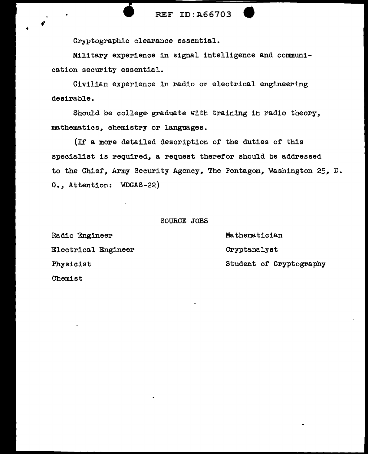Cryptographic clearance essential.

Military experience in signal intelligence and communication security essential.

Civilian experience in radio or electrical engineering desirable.

Should be college- graduate with training in radio theory, mathematics, chemistry or languages.

(If a more detailed description of the duties of this specialist is required, a request therefor should be addressed to the Chief, Army Security Agency, The Pentagon, Washington 25, D. C., Attention: WDGAS-22)

# SOURCE JOBS

Radio Engineer Electrical Engineer Physicist Chemist

Mathematician Cryptanalyst Student of Cryptography

 $\boldsymbol{r}^{\dagger}$ 

 $^{\circ}$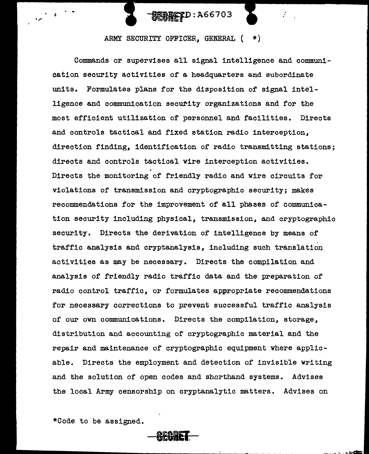

ARMY SECURITY OFFICER, GENERAL ( \*}

Commands or supervises all signal intelligence and communication security activities of a headquarters and subordinate units. Formulates plans for the disposition of signal intelligence and communication security organizations and for the most efficient utilization of personnel and facilities. Directs and controls tactical and fixed station radio interception, direction finding, identification of radio transmitting stations; directs and controls tactical wire interception activities. Directs the monitoring of friendly radio and wire circuits for violations of transmission and cryptographic security; makes recommendations for the improvement of all phases of communication security including physical, transmission, and cryptographic security. Directs the derivation of intelligence by means of traffic analysis and cryptanalysis, including such translation activities as may be necessary. Directs the compilation and analysis of friendly radio traffic data and the preparation of radio control traffic, or formulates appropriate recommendations for necessary corrections to prevent successful traffic analysis of our own communications. Directs the compilation, storage, distribution and accounting of cryptographic material and the repair and maintenance of cryptographic equipment where applicable. Directs the employment and detection of invisible writing and the solution of open codes and shorthand systems. Advises the local Army censorship on cryptanalytic matters. Advises on

\*Code to be assigned.

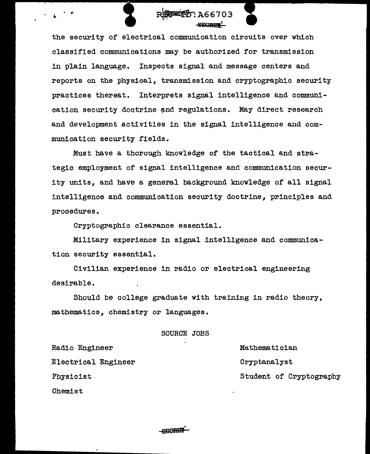

the security of electrical communication circuits over which classified communications may be authorized for transmission in plain language. Inspects signal and message centers and reports on the physical, transmission and cryptographic security practices thereat. Interprets signal intelligence and communication security doctrine and regulations. May direct research and development activities in the signal intelligence and communication security fields.

Must have a thorough knowledge of the tactical and strategic employment of signal intelligence and communication security units, and have a general background knowledge of all signal intelligence and communication security doctrine, principles and procedures.

Cryptographic clearance essential.

Military experience in signal intelligence and communication security essential.

Civilian experience in radio or electrical engineering desirable.

Should be college graduate with training in radio theory, mathematics, chemistry or languages.

SOURCE JOBS

Radio Engineer

Electrical Engineer

Physicist

Chemist

Mathematician Cryptanalyst Student of Cryptography

**CECRET**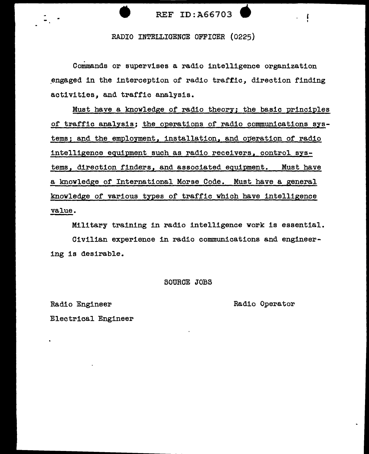

RADIO INTELLIGENCE OFFICER (0225)

Commands or supervises a radio intelligence organization engaged in the interception of radio traffic, direction finding activities, and traffic analysis.

Must have a knowledge of radio theory; the basic principles of traffic analysis; the operations of radio communications systems; and the employment, installation, and operation of radio intelligence equipment such as radio receivers, control systems, direction finders, and associated equipment. Must have a knowledge of International Morse Code. Must have a general knowledge of various types of traffic which have intelligence value.

Military training in radio intelligence work is essential.

Civilian experience in radio communications and engineering is desirable.

# SOURCE JOBS

.............. \_\_\_\_\_\_\_\_\_\_\_\_ ~~~~~~~~~~--------- -

Radio Engineer

Radio Operator

Electrical Engineer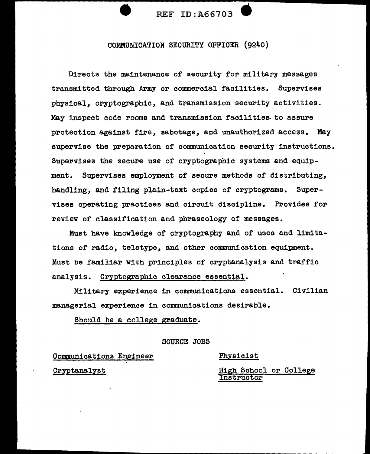

COMMUNICATION SECURITY OFFICER (9240)

Directs the maintenance of security for military messages transmitted through Army or commercial facilities. Supervises physical, cryptographic, and transmission security activities. May inspect code rooms and transmission facilities. to assure protection against fire, sabotage, and unauthorized access. May supervise the preparation of communication security instructions. Supervises the secure use of cryptographic systems and equipment. Supervises employment of secure methods of distributing, handling, and filing plain-text copies of cryptograms. Supervises operating practices and circuit discipline. Provides for review of classification and phraseology of messages.

Must have knowledge of cryptography and of uses and limitations of radio, teletype, and other communication equipment. Must be familiar with principles of cryptanalysis and traffic analysis. Cryptographic clearance essential.

Military experience in communications essential. Civilian managerial experience in communications desirable.

Should be a college graduate.

SOURCE JOBS

Communications Engineer '

Physicist

**Cryptanalyst** 

High School or College Instructor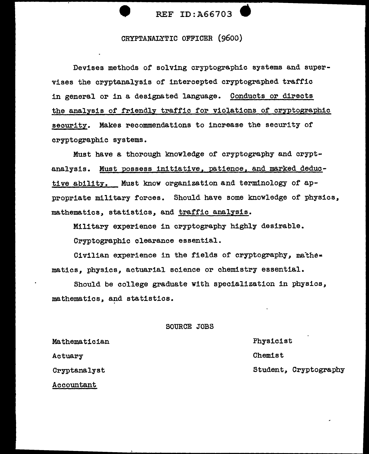

# CRYPTANALYTIC OFFICER (9600)

Devises methods of solving cryptographic systems and supervises the cryptanalysis or intercepted cryptographed traffic in general or in a designated language. Conducts or directs the analysis of friendly traffic for violations of cryptographic security. Makes recommendations to increase the security of cryptographic systems.

Must have a thorough knowledge of cryptography and cryptanalysis. Must possess initiative, patience, and marked deductive ability. Must know organization and terminology of appropriate military forces. Should have some knowledge of physics, mathematics, statistics, and traffic analysis.

Military experience in cryptography highly desirable.

Cryptographic clearance essential.

Civilian experience in the fields of cryptography, mathe• matics, physics, actuarial science or chemistry essential.

Should be college graduate with specialization in physics, mathematics, and statistics.

# SOURCE JOBS

Mathematician Actuary Cryptanalyst Accountant

Physicist Chemist Student, Cryptography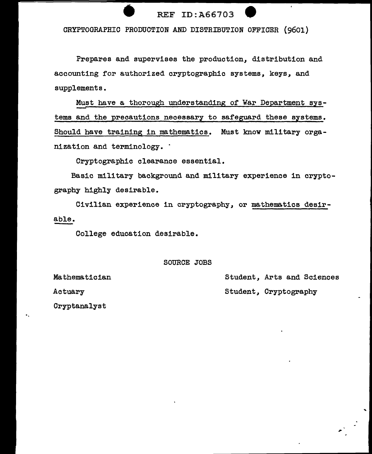# CRYPTOGRAPHIC PRODUCTION AND DISTRIBUTION OFFICER (9601)

Prepares and supervises the production, distribution and accounting for authorized cryptographic systems, keys, and supplements.

Must have a thorough understanding of War Department systems and the precautions necessary to safeguard these systems. Should have training in mathematics. Must know military organization and terminology.

Cryptographic clearance essential.

Basic military background and military experience in cryptography highly desirable.

Civilian experience in cryptography, or mathematics desirable.

College education desirable.

### SOURCE JOBS

Student, Arts and Sciences

..

Student, Cryptography

Mathematician

Actuary

Cryptanalyst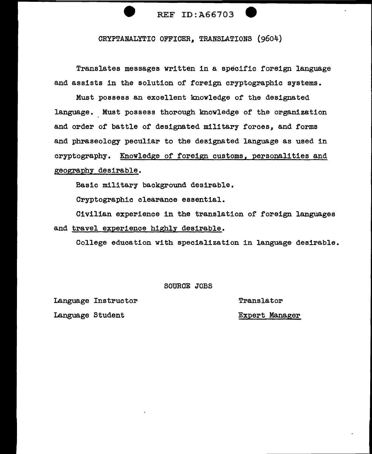

CRYPTANALYTIC OFFICER, TRANSLATIONS (9604)

Translates messages written in a specific foreign language and assists in the solution of foreign cryptographic systems.

Must possess an excellent knowledge of the designated language. Must possess thorough knowledge of the organization and order of battle of designated military forces, and forms and phraseology peculiar to the designated language as used in cryptography. Knowledge of foreign customs, personalities and geography desirable.

Basic military background desirable.

Cryptographic clearance essential.

Civilian experience in the translation of foreign languages and travel experience highly desirable.

College education with specialization in language desirable.

SOURCE JOBS

Language Instructor

Language Student

Translator

Expert Manager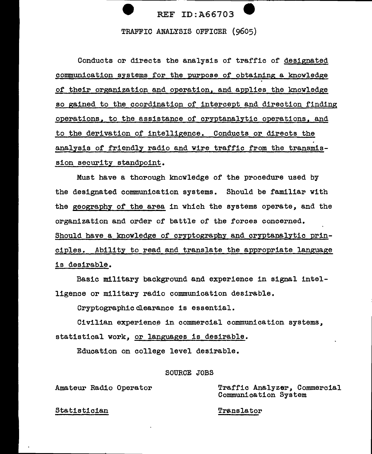TRAFFIC ANALYSIS OFFICER (9605)

Conducts or directs the analysis of traffic of designated communication systems for the purpose or obtaining a knowledge of their organization and operation, and applies the knowledge so gained to the coordination of intercept and direction finding operations, to the assistance of cryptanalytic operations, and to the derivation of intelligence. Conducts or directs the analysis of friendly radio and wire traffic from the transmission security standpoint.

Must have a thorough knowledge of the procedure used by the designated communication systems. Should be familiar with the geography of the area in which the systems operate, and the organization and order of battle of the forces concerned. Should have a knowledge of cryptography and cryptanalytic principles. Ability to read and translate the appropriate language is desirable.

Basic military background and experience in signal intelligence or military radio communication desirable.

Cryptographic clearance is essential.

Civilian experience in commercial communication systems, statistical work, or languages is desirable.

Education on college level desirable.

# SOURCE JOBS

Amateur Radio Operator

Traffic Analyzer, Commercial Communication System

Statistician

Translator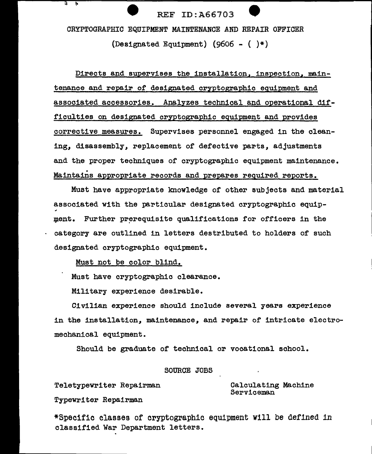CRYPTOGRAPHIC EQUIPMENT MAINTENANCE AND REPAIR OFFICER

(Designated Equipment) (9606 -  $($   $)*$ )

Directs and supervises the installation, inspection, maintenance and repair of designated cryptographic equipment and associated accessories. Analyzes technical and operational difficulties on designated cryptographic equipment and provides corrective measures. Supervises personnel engaged in the cleaning, disassembly, replacement of defective parts, adjustments and the proper techniques of cryptographic equipment maintenance. . Maintains appropriate records and prepares required reports.

Must have appropriate knowledge of other subjects and material associated with the particular designated cryptographic equip- " ment. Further prerequisite qualifications for officers in the category are outlined in letters destributed to holders of such designated cryptographic equipment.

Must not be color blind.

Must have cryptographic clearance.

Military experience desirable.

Civilian experience should include several years experience in the installation, maintenance, and repair of intricate electromechanical equipment.

Should be graduate of technical or vocational school.

# SOURCE JOBS

Teletypewriter Repairman

Typewriter Repairman

<u>न ।</u>

Calculating Machine Serviceman

--- -- \_ \_J

\*Specific classes of cryptographic equipment will be defined 1n classified War Department letters.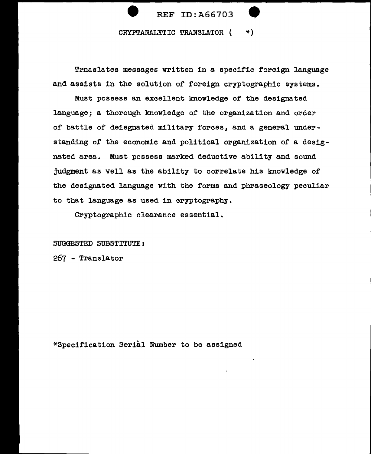

Trnaslates messages written in a specific foreign language and assists in the solution of foreign cryptographic systems.

Must possess an excellent knowledge of the designated language; a thorough knowledge of the organization and order of battle of deisgnated military forces, and a general understanding of the economic and political organization of a designated area. Must possess marked deductive ability and sound judgment as well as the ability to correlate his knowledge of the designated language with the forms and phraseology peculiar to that language as used in cryptography.

Cryptographic clearance essential.

# SUGGESTED SUBSTITUTE:

267 - Translator

\*Specification Serial Number to be assigned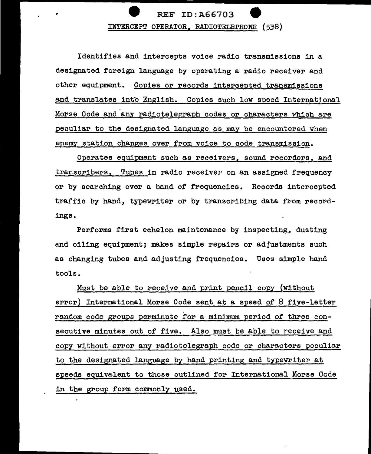

Identifies and intercepts voice radio transmissions in a designated foreign language by operating a radio receiver and other equipment. Copies or records intercepted transmissions and translates into English. Copies such low speed International Morse Code and any radiotelegraph codes or characters which are peculiar to the designated language as may be encountered when enemy station changes over from voice to code transmission.

Operates equipment such as receivers, sound recorders, and transcribers. Tunes in radio receiver on an assigned frequency or by searching over a band of frequencies. Records intercepted traffic by hand, typewriter or by transcribing data from recordings.

Performs first echelon maintenance by inspecting, dusting and oiling equipment; makes simple repairs or adjustments such as changing tubes and adjusting frequencies. Uses simple hand tools.

Must be able to receive and print pencil copy (without error) International Morse Code sent at a speed of 8 five-letter random code groups perminute for a minimum period of three consecutive minutes out of five. Also must be able to receive and copy without error any radiotelegraph code or characters peculiar to the designated language by hand printing and typewriter at speeds equivalent to those outlined for International Morse Code in the group form commonly used.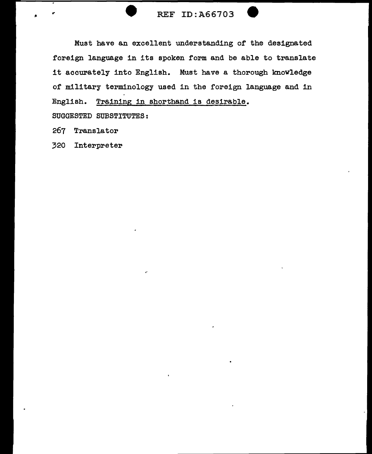# • REF ID:A66703

Must have an excellent understanding of the designated foreign language in its spoken form and be able to translate it accurately into English. Must have a thorough knowledge of military terminology used in the foreign language and in English. Training in shorthand is desirable.

SUGGESTED SUBSTITUTES:

267 Translator

320 Interpreter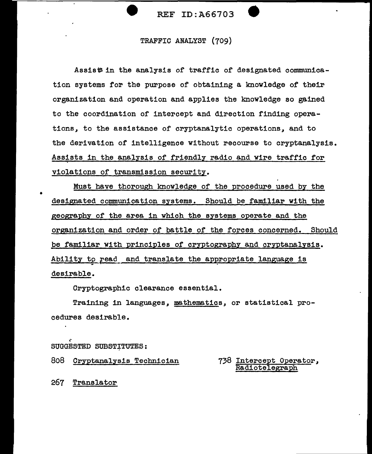# TRAFFIC ANALYST {709)

Assis# in the analysis of traffic of designated communication systems for the purpose of obtaining a knowledge of their organization and operation and applies the knowledge so gained to the coordination of intercept and direction finding operations, to the assistance of cryptanalytic operations, and to the derivation of intelligence without recourse to cryptanalysis. Assists in the analysis of friendly radio and wire traffic for violations of transmission security.

Must have thorough knowledge of the procedure used by the designated communication systems. Should be familiar with the geography of the area in which the systems operate and the organization and order of battle of the forces concerned. Should be familiar with principles of cryptography and cryptanalysis. Ability to read and translate the appropriate language is desirable.

Cryptographic clearance essential.

Training in languages, mathematics, or statistical procedures desirable.

~ SUGGESTED SUBSTITUTES:

808 Cryptanalysis Technician 738 Intercept Operator, Radiotelegraph

267 Translator

•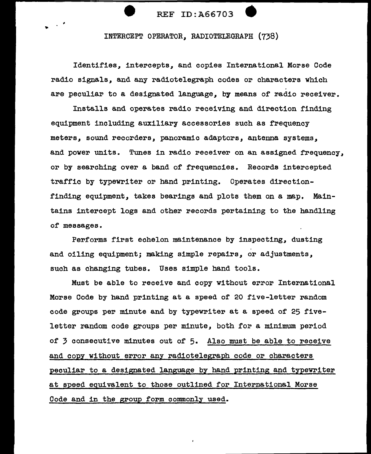INTERCEPT OPERATOR, RADIOTELEGRAPH (738)

Identifies, intercepts, and copies International Morse Code radio signals, and any radiotelegraph codes or characters which are peculiar to a designated language, by means of radio receiver.

Installs and operates radio receiving and direction finding equipment including auxiliary accessories such as frequency meters, sound recorders, panoramic adaptors, antenna systems, and power units. Tunes in radio receiver on an assigned frequency, or by searching over a band of frequencies. Records intercepted traffic by typewriter or hand printing. Operates directionfinding equipment, takes bearings and plots them on a map. Maintains intercept logs and other records pertaining to the handling of messages.

Performs first echelon maintenance by inspecting, dusting and oiling equipment; making simple repairs, or adjustments, such as changing tubes. Uses simple hand tools.

Must be able to receive and copy without error International Morse Code by hand printing at a speed of 20 five-letter random code groups per minute and by typewriter at a speed of 25 fiveletter random code groups per minute, both for a minimum period of 3 consecutive minutes out of 5. Also must be able to receive and copy without error any radiotelegraph code or characters peculiar to a designated language by hand printing and typewriter at speed eguivalent to those outlined for International Morse Code and in the group form commonly used.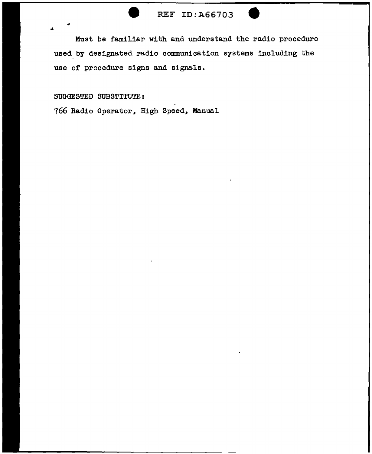Must be familiar with and understand the radio procedure used.by designated radio communication systems including the use of procedure signs and signals.

# SUGGESTED SUBSTITUTE:

766 Radio Operator, High Speed, Manual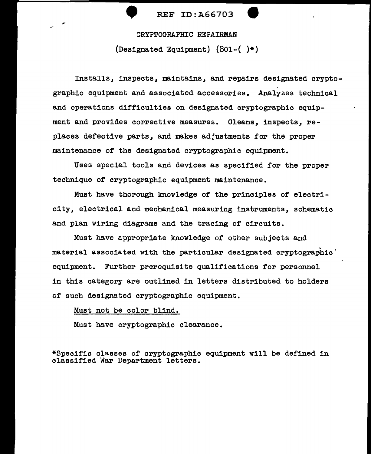(Designated Equipment) (801-( )\*)

Installs, inspects, maintains, and repairs designated cryptographic equipment and associated accessories. Analyzes technical and operations difficulties on designated cryptographic equipment and provides corrective measures. Cleans, inspects, replaces defective parts, and makes adjustments for the proper maintenance of the designated cryptographic equipment.

Uees special tools and devices as specified for the proper technique of cryptographic equipment maintenance.

Must have thorough knowledge of the principles of electricity, electrical and mechanical measuring instruments, schematic and plan wiring diagrams and the tracing of circuits.

Must have appropriate knowledge of other subjects and material associated with the particular designated cryptographic  $\dot{}$ equipment. Further prerequisite qualifications for personnel in this category are outlined in letters distributed to holders of such designated cryptographic equipment.

### Must not be color blind.

Must have cryptographic clearance.

\*Specific classes of cryptographic equipment will be defined in classified War Department letters.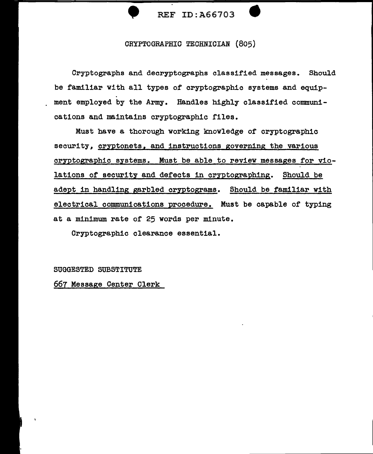

# CRYPTOGRAPHIC TECHNICIAN (805)

Cryptographs and decryptographs classified messages. Should be familiar with all types of cryptographic systems and equipment employed by the Army. Handles highly classified communications and maintains cryptographic files.

Must have a thorough working knowledge of cryptographic security, cryptonets, and instructions governing the various cryptographic systems. Must be able to review messages for violations of security and defects in cryptographing. Should be adept in handling garbled cryptograms. Should be familiar with electrical communications procedure. Must be capable of typing at a minimum rate of 25 words per minute.

Cryptographic clearance essential.

SUGGESTED SUBSTITUTE

667 Message Center Clerk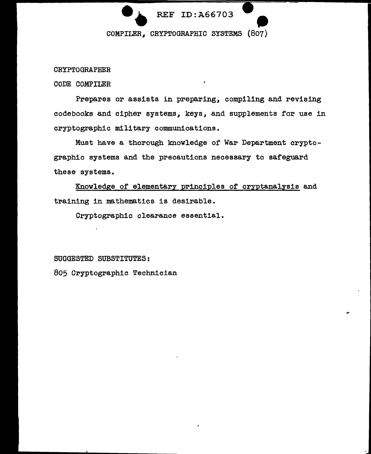# REF ID:A66703  $\bullet$ <br>07)

# CRYPTOGRAPHER

CODE COMPILER

Prepares or assists in preparing, compiling and revising codebooks and cipher systems, keys, and supplements for use in cryptographic military communications.

Must have a thorough knowledge of War Department cryptographic systems and the precautions necessary to safeguard these systems.

Knowledge of elementary principles of cryptanalysis and training in mathematics is desirable.

Cryptographic clearance essential.

# SUGGESTED SUBSTITUTES:

805 Cryptographic Technician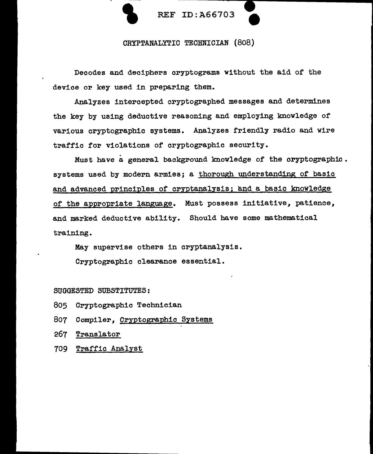

Decodes and deciphers cryptograms without the aid of the device or key used in preparing them.

Analyzes intercepted cryptographed messages and determines the key by using deductive reasoning and employing knowledge of various cryptographic systems. Analyzes friendly radio and wire traffic for violations of cryptographic security •

. Must have a general background knowledge of the cryptograph1c. systems used by modern armies; a thorough understanding of basic and advanced principles of cryptanalysis; and a basic knowledge of the appropriate language. Must possess initiative, patience, and marked deductive ability. Should have some mathematical training.

May supervise others in cryptanalysis.

Cryptographic clearance essential.

SUGGESTED SUBSTITUTES:

- 805 Cryptographic Technician
- 807 Compiler, Cryptographic Systems
- 267 Translator
- 709 Traffic Analyst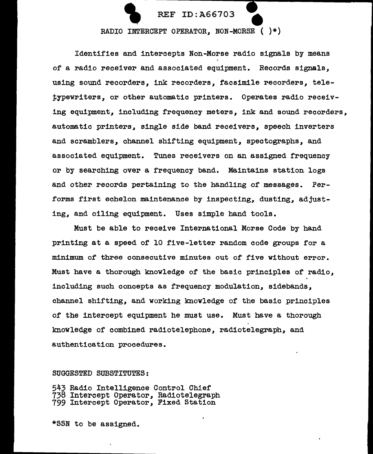

# REF ID:A66703<br>RADIO INTERCEPT OPERATOR, NON-MORSE ( )\*)

Identifies and intercepts Non-Morse radio signals by means of a radio receiver and associated equipment. Records signals, using sound recorders, ink recorders, facsimile recorders, tele typewriters, or other automatic printers. Operates radio receiving equipment, including frequency meters, ink and sound recorders, automatic printers, single side band receivers, speech inverters and scramblers, channel shifting equipment, spectographs, and associated equipment. Tunes receivers on an assigned frequency or by searching over a frequency band. Maintains station logs and other records pertaining to the handling of messages. Performs first echelon maintenance by inspecting, dusting, adjusting, and oiling equipment. Uses simple hand tools.

Must be able to receive International Morse Code by hand printing at a speed of 10 five-letter random code groups for a minimum of three consecutive minutes out of five without error. Must have a thorough knowledge of the basic principles of radio, including such concepts as frequency modulation, sidebands, channel shifting, and working knowledge of the basic principles of the intercept equipment he must use. Must have a thorough knowledge of combined radiotelephone, radiotelegraph, and authentication procedures.

# SUGGESTED SUBSTITUTES:

543 Radio Intelligence Control Chief<br>738 Intercept Operator, Radiotelegraph 799 Intercept Operator, Fixed Station

\*SSN to be assigned.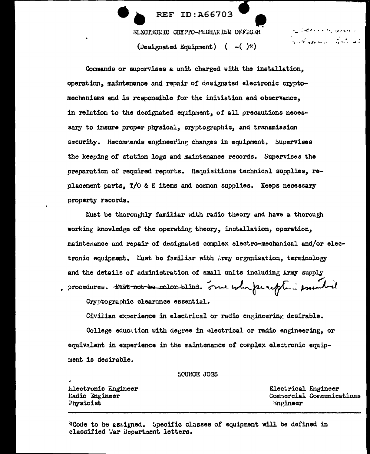ELECTHONIC CRYPTO-PECHANISM OFFICER

**REF ID:A66703** 

(Designated Equipment)  $(-1)^{*}$ )

والمعاونين وملاحده فالصائر المتأ فالمستقطع وأناس والمستعدم والمحاربين

Commands or supervises a unit charged with the installation, operation, maintenance and repair of designated electronic cryptomechanisms and is responsible for the initiation and observance, in relation to the designated equipment, of all precautions necessary to insure proper physical, cryptographic, and transmission security. Recommends engineering changes in equipment. Supervises the keeping of station logs and maintenance records. Supervises the preparation of required reports. Requisitions technical supplies, replacement parts, T/O & E items and common supplies. Keeps necessary property records.

Must be thoroughly familiar with radio theory and have a thorough working knowledge of the operating theory, installation, operation, maintenance and repair of designated complex electro-mechanical and/or electronic equipment. Must be familiar with Army organization, terminology and the details of administration of small units including Army supply procedures. HEST not be color-blind. Jume whe perception primited

Cryptographic clearance essential.

Civilian experience in electrical or radio engineering desirable.

College eduction with degree in electrical or radio engineering, or equivalent in experience in the maintenance of complex electronic equipment is desirable.

SCURCE JOBS

Electronic Engineer Radio Ingineer Physicist

Electrical Engineer Commercial Communications Engineer

\*Code to be assigned. Specific classes of equipment will be defined in classified Mar Department letters.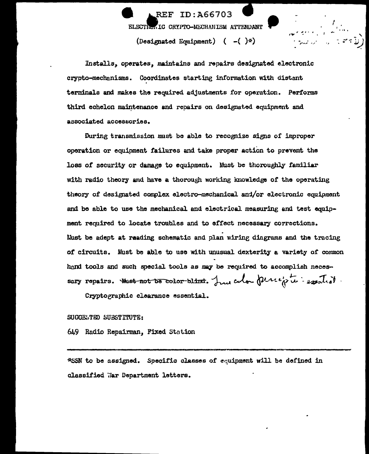**REF ID: A66703** ELECTION IC CRYPTO-MECHANISM ATTENDANT (Designated Equipment) (  $-()^*)$ 

Installs, operates, maintains and repairs designated electronic crypto-mechanisms. Coordinates starting information with distant terminals and makes the required adjustments for operation. Performs third echelon maintenance and repairs on designated equipment and associated accessories.

During transmission must be able to recognize signs of improper operation or equioment failures and take proper action to prevent the loss of security or damage to equipment. Must be thoroughly familiar with radio theory and have a thorough working knowledge of the operating theory of designated complex electro-mechanical and/or electronic equipment and be able to use the mechanical and electrical measuring and test equipment required to locate troubles and to effect necessary corrections. Must be adept at reading schematic and plan wiring diagrams and the tracing of circuits. Must be able to use with unusual dexterity a variety of common hand tools and such special tools as may be required to accomplish necessary repairs. Hust not be color blint. In color percepte - exerted.

Cryptographic clearance essential.

### SUGGESTED SUBSTITUTE:

649 Radio Repairman, Fixed Station

\*SSN to be assigned. Specific classes of equipment will be defined in classified War Department letters.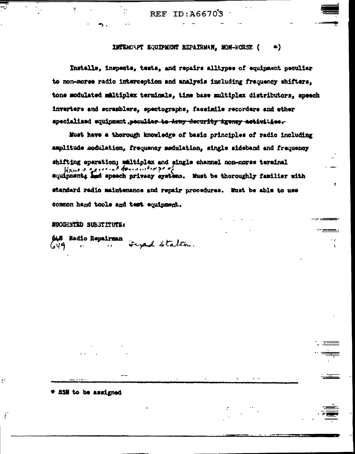$TD:AG6703$ **REF** 

### INTERCEPT EQUIPMENT REPAIRMAN, MON-PORSE (  $\bullet$ )

Installs, inspects, tests, and repairs alltypes of equipment peculiar to non-morse radio interception and analysis including frequency shifters. tone modulated maltiplex terminals, time base multiplex distributors, speech inverters and scramblers, spectographs, facsimile recorders and other specialized equipment, peculier to Army decurity igency activities.

Must have a thorough knowledge of basic principles of radio including amplitude modulation, frequency modulation, single sideband and frequency shifting operation; maltiplex and single channel non-morse terminal Want & certains formanded go of equipments and speech privacy systems. Hust be thoroughly familiar with standard radio maintenance and repair procedures. Must be able to use common hand tools and test equipment.

والأ

 $\mathbf{C}$ 

# **SUGGESTED SUBSTITUTE:**

t 83N to be assigned

ŕ

X

**SAS** Radio Repairman noch stalten. 649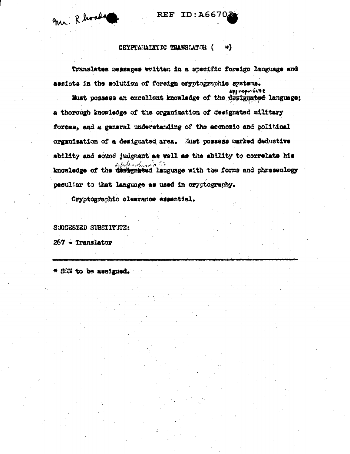m. Rhoods

# REF ID: A6670

### CRYPTAMALYTIC TRANSLATOR ( e).

Translates messages written in a specific foreign language and assists in the solution of foreign eryptographic systems.

approprisente Must possess an excellent knowledge of the designated language; a thorough knowledge of the organization of designated military forces. and a general understanding of the economic and political organisation of a designated area. Must possess marked deductive ability and sound judgment as well as the ability to correlate his سدورهم كالسا knowledge of the defignated language with the forms and phraseology peouliar to that language as used in orygtography.

Cryptographic clearance essential.

SUGGESTED SUBSTITUTE:

 $267$  - Translator

SSN to be assigned.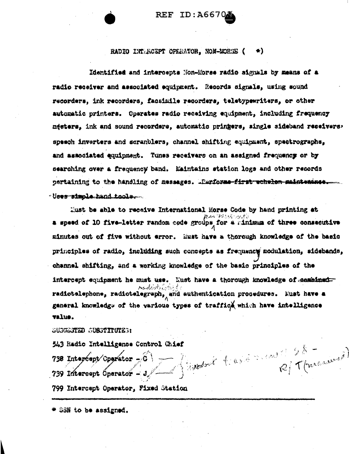**REF ID:A6670** 

### RADIO INTERCEPT OFERATOR. NON-MORSE ( ₩).

Identified and intercepts Non-Morse radio signals by means of a radio receiver and associated equipment. Records signals, using sound recorders. ink recorders. facsimile recorders, teletypewriters, or other automatic printers. Operates radio receiving equipment, including frequency mesters, ink and sound recorders, automatic pringers, single sideband receivers, speech inverters and scranblers, channel shifting equipment, spectrographs, and associated equipment. Tunes receivers on an assigned frequency or by searching over a frequency band. Maintains station logs and other records pertaining to the handling of messages. Thrforme-first echelen maintenance. - Uses simple hand tools.

Must be able to receive International Morse Code by hand printing at a speed of 10 five-letter random code groups for a minimum of three consecutive minutes out of five without error. Must have a thorough knowledge of the basic principles of radio, including such concepts as frequency modulation, sidebands, channel shifting, and a working knowledge of the basic principles of the intercept equipment he must use. Must have a thorough knowledge of combinedradictelephone, radiotelegraph, and authentication procedures. Must have a general knowledge of the various types of traffic which have intelligence value.

# SUSCESTED SUBSTITUTES:

543 Radio Intelligence Control Chief 738 Interport Operator  $-\widehat{6}$  and  $\left(\begin{array}{c} 0 & \text{if } 0 \leq x \leq 0 \\ 0 & \text{if } 0 \leq x \leq 0 \end{array}\right)$ 799 Intercept Operator, Fixed Station

\* SSN to be assigned.